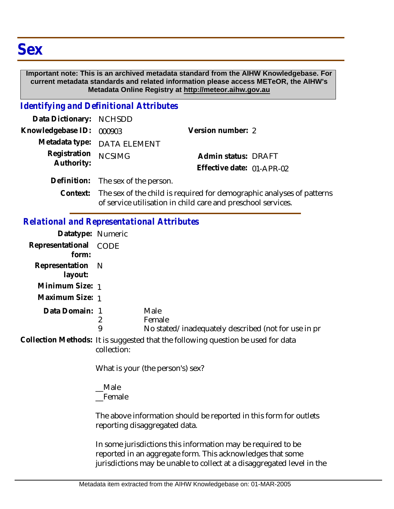## **Important note: This is an archived metadata standard from the AIHW Knowledgebase. For current metadata standards and related information please access METeOR, the AIHW's Metadata Online Registry at http://meteor.aihw.gov.au**

## *Identifying and Definitional Attributes*

| Data Dictionary: NCHSDD    |                                                                                                                                                                                                                                   |                           |  |
|----------------------------|-----------------------------------------------------------------------------------------------------------------------------------------------------------------------------------------------------------------------------------|---------------------------|--|
| Knowledgebase ID: 000903   |                                                                                                                                                                                                                                   | Version number: 2         |  |
|                            | Metadata type: DATA ELEMENT                                                                                                                                                                                                       |                           |  |
| Registration<br>Authority: | <b>NCSIMG</b>                                                                                                                                                                                                                     | Admin status: DRAFT       |  |
|                            |                                                                                                                                                                                                                                   | Effective date: 01-APR-02 |  |
|                            | Definition: The sex of the person.                                                                                                                                                                                                |                           |  |
|                            | $\bigcap_{i=1}^n$ is the contract of the contract of the contract of the contract of the contract of the contract of the contract of the contract of the contract of the contract of the contract of the contract of the contract |                           |  |

Context: The sex of the child is required for demographic analyses of patterns of service utilisation in child care and preschool services.

## *Relational and Representational Attributes*

| Datatype: Numeric           |             |                                                                                  |
|-----------------------------|-------------|----------------------------------------------------------------------------------|
| Representational<br>form:   | CODE        |                                                                                  |
| Representation N<br>layout: |             |                                                                                  |
| Minimum Size: 1             |             |                                                                                  |
| Maximum Size: 1             |             |                                                                                  |
| Data Domain: 1              | 9           | Male<br>Female<br>No stated/inadequately described (not for use in pr            |
|                             | collection: | Collection Methods: It is suggested that the following question be used for data |
|                             |             | What is your (the person's) sex?                                                 |

\_\_Male \_\_Female

The above information should be reported in this form for outlets reporting disaggregated data.

In some jurisdictions this information may be required to be reported in an aggregate form. This acknowledges that some jurisdictions may be unable to collect at a disaggregated level in the